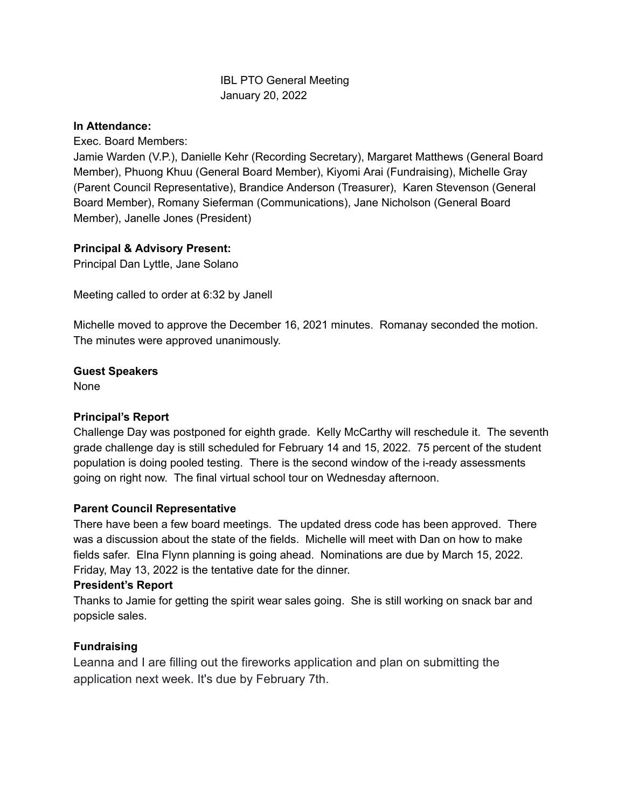#### IBL PTO General Meeting January 20, 2022

#### **In Attendance:**

Exec. Board Members:

Jamie Warden (V.P.), Danielle Kehr (Recording Secretary), Margaret Matthews (General Board Member), Phuong Khuu (General Board Member), Kiyomi Arai (Fundraising), Michelle Gray (Parent Council Representative), Brandice Anderson (Treasurer), Karen Stevenson (General Board Member), Romany Sieferman (Communications), Jane Nicholson (General Board Member), Janelle Jones (President)

## **Principal & Advisory Present:**

Principal Dan Lyttle, Jane Solano

Meeting called to order at 6:32 by Janell

Michelle moved to approve the December 16, 2021 minutes. Romanay seconded the motion. The minutes were approved unanimously.

#### **Guest Speakers**

None

## **Principal's Report**

Challenge Day was postponed for eighth grade. Kelly McCarthy will reschedule it. The seventh grade challenge day is still scheduled for February 14 and 15, 2022. 75 percent of the student population is doing pooled testing. There is the second window of the i-ready assessments going on right now. The final virtual school tour on Wednesday afternoon.

## **Parent Council Representative**

There have been a few board meetings. The updated dress code has been approved. There was a discussion about the state of the fields. Michelle will meet with Dan on how to make fields safer. Elna Flynn planning is going ahead. Nominations are due by March 15, 2022. Friday, May 13, 2022 is the tentative date for the dinner.

#### **President's Report**

Thanks to Jamie for getting the spirit wear sales going. She is still working on snack bar and popsicle sales.

## **Fundraising**

Leanna and I are filling out the fireworks application and plan on submitting the application next week. It's due by February 7th.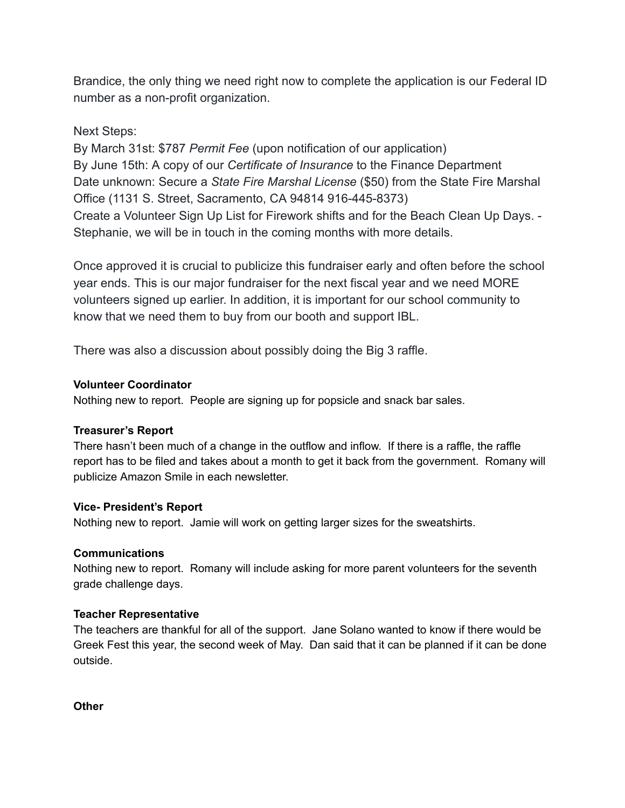Brandice, the only thing we need right now to complete the application is our Federal ID number as a non-profit organization.

# Next Steps:

By March 31st: \$787 *Permit Fee* (upon notification of our application) By June 15th: A copy of our *Certificate of Insurance* to the Finance Department Date unknown: Secure a *State Fire Marshal License* (\$50) from the State Fire Marshal Office (1131 S. Street, Sacramento, CA 94814 916-445-8373) Create a Volunteer Sign Up List for Firework shifts and for the Beach Clean Up Days. - Stephanie, we will be in touch in the coming months with more details.

Once approved it is crucial to publicize this fundraiser early and often before the school year ends. This is our major fundraiser for the next fiscal year and we need MORE volunteers signed up earlier. In addition, it is important for our school community to know that we need them to buy from our booth and support IBL.

There was also a discussion about possibly doing the Big 3 raffle.

# **Volunteer Coordinator**

Nothing new to report. People are signing up for popsicle and snack bar sales.

## **Treasurer's Report**

There hasn't been much of a change in the outflow and inflow. If there is a raffle, the raffle report has to be filed and takes about a month to get it back from the government. Romany will publicize Amazon Smile in each newsletter.

## **Vice- President's Report**

Nothing new to report. Jamie will work on getting larger sizes for the sweatshirts.

## **Communications**

Nothing new to report. Romany will include asking for more parent volunteers for the seventh grade challenge days.

## **Teacher Representative**

The teachers are thankful for all of the support. Jane Solano wanted to know if there would be Greek Fest this year, the second week of May. Dan said that it can be planned if it can be done outside.

**Other**